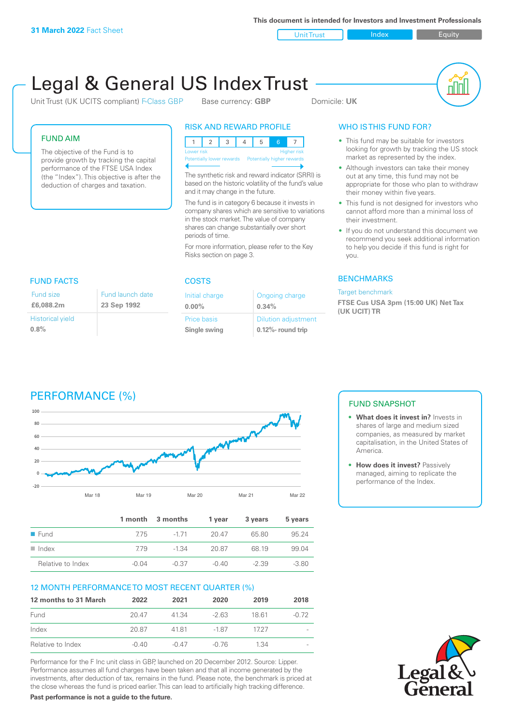**This document is intended for Investors and Investment Professionals**

Unit Trust Index Index Equity

# Legal & General US Index Trust

Unit Trust (UK UCITS compliant) F-Class GBP Base currency: **GBP** Domicile: UK



#### FUND AIM

Historical yield

Fund size **£6,088.2m**

**0.8%**

The objective of the Fund is to provide growth by tracking the capital performance of the FTSE USA Index (the "Index"). This objective is after the deduction of charges and taxation.

## RISK AND REWARD PROFILE

12345 6 7 Lower risk and the contract of the Higher risk Potentially higher

The synthetic risk and reward indicator (SRRI) is based on the historic volatility of the fund's value and it may change in the future.

The fund is in category 6 because it invests in company shares which are sensitive to variations in the stock market. The value of company shares can change substantially over short periods of time.

For more information, please refer to the Key Risks section on page 3.

| <b>FUND FACTS</b> | COSTS |
|-------------------|-------|

Fund launch date **23 Sep 1992**

| Initial charge | Ongoing charge             |
|----------------|----------------------------|
| $0.00\%$       | 0.34%                      |
| Price basis    | <b>Dilution adjustment</b> |
| Single swing   | 0.12%- round trip          |

### WHO IS THIS FUND FOR?

- This fund may be suitable for investors looking for growth by tracking the US stock market as represented by the index.
- Although investors can take their money out at any time, this fund may not be appropriate for those who plan to withdraw their money within five years.
- This fund is not designed for investors who cannot afford more than a minimal loss of their investment.
- If you do not understand this document we recommend you seek additional information to help you decide if this fund is right for you.

#### **BENCHMARKS**

#### Target benchmark

**FTSE Cus USA 3pm (15:00 UK) Net Tax (UK UCIT) TR**

### PERFORMANCE (%)



|                     |       | 1 month 3 months | 1 vear  | 3 years | 5 years |
|---------------------|-------|------------------|---------|---------|---------|
| $\blacksquare$ Fund | 775   | $-171$           | 20.47   | 65.80   | 95 24   |
| Index<br>. .        | 779   | $-1.34$          | 20.87   | 68 19   | 99.04   |
| Relative to Index   | -0.04 | $-0.37$          | $-0.40$ | $-2.39$ | $-3.80$ |

#### 12 MONTH PERFORMANCE TO MOST RECENT QUARTER (%)

| 12 months to 31 March | 2022    | 2021    | 2020    | 2019 | 2018    |
|-----------------------|---------|---------|---------|------|---------|
| Fund                  | 20.47   | 41.34   | $-263$  | 1861 | $-0.72$ |
| Index                 | 20.87   | 4181    | $-1.87$ | 1727 |         |
| Relative to Index     | $-0.40$ | $-0.47$ | -0.76   | 1.34 |         |

Performance for the F Inc unit class in GBP, launched on 20 December 2012. Source: Lipper. Performance assumes all fund charges have been taken and that all income generated by the investments, after deduction of tax, remains in the fund. Please note, the benchmark is priced at the close whereas the fund is priced earlier. This can lead to artificially high tracking difference.

**Past performance is not a guide to the future.**

#### FUND SNAPSHOT

- **• What does it invest in?** Invests in shares of large and medium sized companies, as measured by market capitalisation, in the United States of America.
- **• How does it invest?** Passively managed, aiming to replicate the performance of the Index.

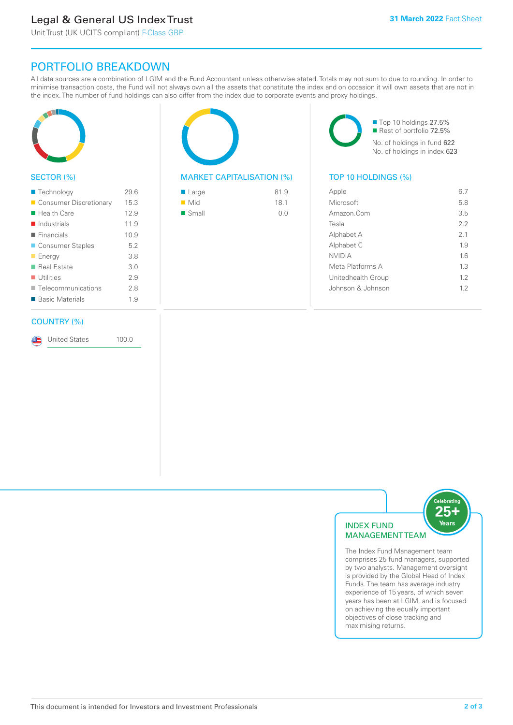### Legal & General US Index Trust

Unit Trust (UK UCITS compliant) F-Class GBP

### PORTFOLIO BREAKDOWN

All data sources are a combination of LGIM and the Fund Accountant unless otherwise stated. Totals may not sum to due to rounding. In order to minimise transaction costs, the Fund will not always own all the assets that constitute the index and on occasion it will own assets that are not in the index. The number of fund holdings can also differ from the index due to corporate events and proxy holdings.



#### SECTOR (%)

| ■ Technology               | 29.6 |
|----------------------------|------|
| ■ Consumer Discretionary   | 15.3 |
| $\blacksquare$ Health Care | 12.9 |
| $\blacksquare$ Industrials | 11.9 |
| $\blacksquare$ Financials  | 10.9 |
| ■ Consumer Staples         | 5.2  |
| <b>Energy</b>              | 3.8  |
| ■ Real Estate              | 3.0  |
| $\blacksquare$ Utilities   | 29   |
| ■ Telecommunications       | 2.8  |
| ■ Basic Materials          | 1.9  |
|                            |      |

#### COUNTRY (%)

United States 100.0

#### MARKET CAPITALISATION (%) TOP 10 HOLDINGS (%)

| ■ Large              | 81.9 |
|----------------------|------|
| $\blacksquare$ Mid   | 18.1 |
| $\blacksquare$ Small | 0.0  |

■ Top 10 holdings 27.5% Rest of portfolio 72.5% No. of holdings in fund 622 No. of holdings in index 623

| Apple              | 67  |
|--------------------|-----|
| Microsoft          | 5.8 |
| Amazon.Com         | 3.5 |
| Tesla              | 22  |
| Alphabet A         | 2.1 |
| Alphabet C         | 1.9 |
| <b>NVIDIA</b>      | 16  |
| Meta Platforms A   | 1.3 |
| Unitedhealth Group | 12  |
| Johnson & Johnson  | 12  |
|                    |     |



The Index Fund Management team comprises 25 fund managers, supported by two analysts. Management oversight is provided by the Global Head of Index Funds. The team has average industry experience of 15 years, of which seven years has been at LGIM, and is focused on achieving the equally important objectives of close tracking and maximising returns.